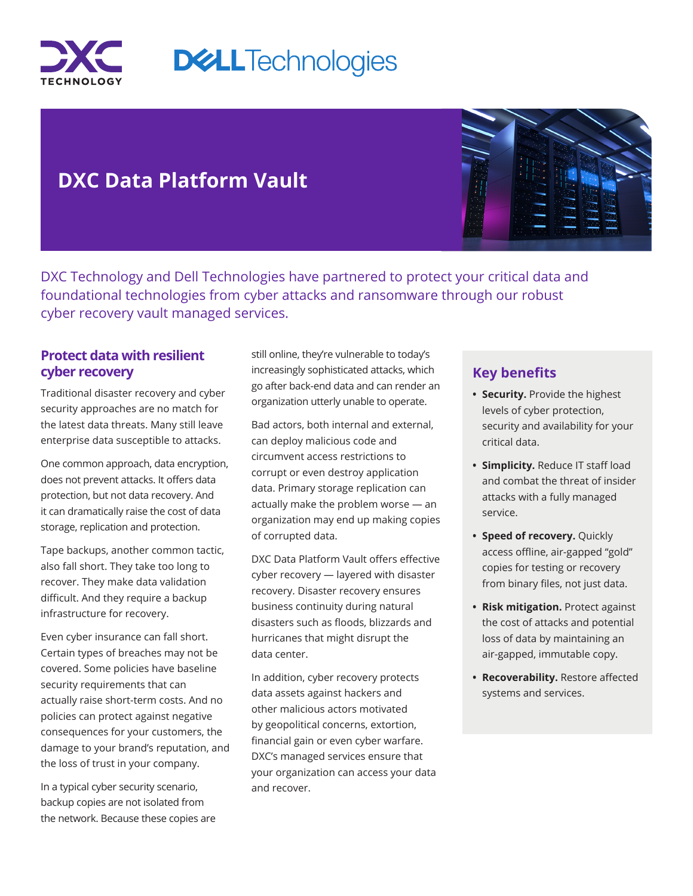

# **DXC Data Platform Vault**

DXC Technology and Dell Technologies have partnered to protect your critical data and foundational technologies from cyber attacks and ransomware through our robust cyber recovery vault managed services.

#### **Protect data with resilient cyber recovery**

Traditional disaster recovery and cyber security approaches are no match for the latest data threats. Many still leave enterprise data susceptible to attacks.

One common approach, data encryption, does not prevent attacks. It offers data protection, but not data recovery. And it can dramatically raise the cost of data storage, replication and protection.

Tape backups, another common tactic, also fall short. They take too long to recover. They make data validation difficult. And they require a backup infrastructure for recovery.

Even cyber insurance can fall short. Certain types of breaches may not be covered. Some policies have baseline security requirements that can actually raise short-term costs. And no policies can protect against negative consequences for your customers, the damage to your brand's reputation, and the loss of trust in your company.

In a typical cyber security scenario, backup copies are not isolated from the network. Because these copies are still online, they're vulnerable to today's increasingly sophisticated attacks, which go after back-end data and can render an organization utterly unable to operate.

Bad actors, both internal and external, can deploy malicious code and circumvent access restrictions to corrupt or even destroy application data. Primary storage replication can actually make the problem worse — an organization may end up making copies of corrupted data.

DXC Data Platform Vault offers effective cyber recovery — layered with disaster recovery. Disaster recovery ensures business continuity during natural disasters such as floods, blizzards and hurricanes that might disrupt the data center.

In addition, cyber recovery protects data assets against hackers and other malicious actors motivated by geopolitical concerns, extortion, financial gain or even cyber warfare. DXC's managed services ensure that your organization can access your data and recover.

## **Key benefits**

- **• Security.** Provide the highest levels of cyber protection, security and availability for your critical data.
- **• Simplicity.** Reduce IT staff load and combat the threat of insider attacks with a fully managed service.
- **• Speed of recovery.** Quickly access offline, air-gapped "gold" copies for testing or recovery from binary files, not just data.
- **• Risk mitigation.** Protect against the cost of attacks and potential loss of data by maintaining an air-gapped, immutable copy.
- **• Recoverability.** Restore affected systems and services.